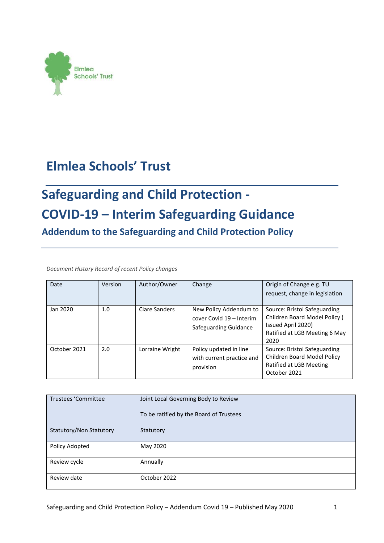

## **Elmlea Schools' Trust**

# **Safeguarding and Child Protection - COVID-19 – Interim Safeguarding Guidance**

**Addendum to the Safeguarding and Child Protection Policy**

*Document History Record of recent Policy changes* 

| Date         | Version | Author/Owner    | Change                                                                      | Origin of Change e.g. TU<br>request, change in legislation                                                                   |
|--------------|---------|-----------------|-----------------------------------------------------------------------------|------------------------------------------------------------------------------------------------------------------------------|
| Jan 2020     | 1.0     | Clare Sanders   | New Policy Addendum to<br>cover Covid 19 - Interim<br>Safeguarding Guidance | Source: Bristol Safeguarding<br>Children Board Model Policy (<br>Issued April 2020)<br>Ratified at LGB Meeting 6 May<br>2020 |
| October 2021 | 2.0     | Lorraine Wright | Policy updated in line<br>with current practice and<br>provision            | Source: Bristol Safeguarding<br>Children Board Model Policy<br>Ratified at LGB Meeting<br>October 2021                       |

| Trustees 'Committee     | Joint Local Governing Body to Review    |
|-------------------------|-----------------------------------------|
|                         | To be ratified by the Board of Trustees |
| Statutory/Non Statutory | Statutory                               |
| Policy Adopted          | May 2020                                |
| Review cycle            | Annually                                |
| Review date             | October 2022                            |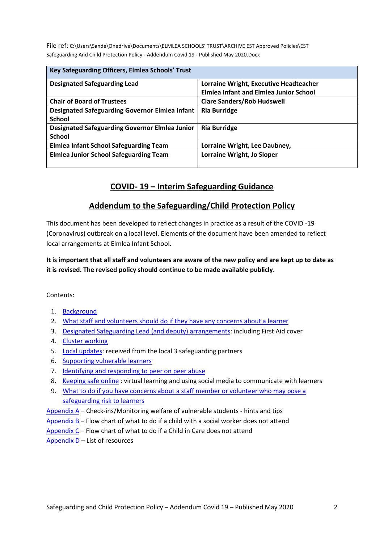File ref: C:\Users\Sande\Onedrive\Documents\ELMLEA SCHOOLS' TRUST\ARCHIVE EST Approved Policies\EST Safeguarding And Child Protection Policy - Addendum Covid 19 - Published May 2020.Docx

| Key Safeguarding Officers, Elmlea Schools' Trust      |                                               |
|-------------------------------------------------------|-----------------------------------------------|
| <b>Designated Safeguarding Lead</b>                   | Lorraine Wright, Executive Headteacher        |
|                                                       | <b>Elmlea Infant and Elmlea Junior School</b> |
| <b>Chair of Board of Trustees</b>                     | <b>Clare Sanders/Rob Hudswell</b>             |
| <b>Designated Safeguarding Governor Elmlea Infant</b> | <b>Ria Burridge</b>                           |
| <b>School</b>                                         |                                               |
| <b>Designated Safeguarding Governor Elmlea Junior</b> | <b>Ria Burridge</b>                           |
| <b>School</b>                                         |                                               |
| <b>Elmlea Infant School Safeguarding Team</b>         | Lorraine Wright, Lee Daubney,                 |
| <b>Elmlea Junior School Safeguarding Team</b>         | Lorraine Wright, Jo Sloper                    |
|                                                       |                                               |

#### **COVID- 19 – Interim Safeguarding Guidance**

#### **Addendum to the Safeguarding/Child Protection Policy**

This document has been developed to reflect changes in practice as a result of the COVID -19 (Coronavirus) outbreak on a local level. Elements of the document have been amended to reflect local arrangements at Elmlea Infant School.

**It is important that all staff and volunteers are aware of the new policy and are kept up to date as it is revised. The revised policy should continue to be made available publicly.**

Contents:

- 1. [Background](#page-2-0)
- 2. [What staff and volunteers should do if they have any concerns about a learner](#page-2-1)
- 3. [Designated Safeguarding Lead \(and deputy\) arrangements:](#page-3-0) including First Aid cover
- 4. [Cluster working](#page-4-0)
- 5. [Local updates:](#page-6-0) received from the local 3 safeguarding partners
- 6. [Supporting vulnerable learners](#page-6-1)
- 7. [Identifying and responding to peer on peer abuse](#page-10-0)
- 8. [Keeping safe online](#page-10-1) : virtual learning and using social media to communicate with learners
- 9. [What to do if you have concerns about a staff member or volunteer who may pose a](#page-11-0)  [safeguarding risk to learners](#page-11-0)
- Appendix  $A$  Check-ins/Monitoring welfare of vulnerable students hints and tips
- Appendix  $B -$  Flow chart of what to do if a child with a social worker does not attend
- [Appendix C](#page-14-0) Flow chart of what to do if a Child in Care does not attend
- [Appendix D](#page-15-0) List of resources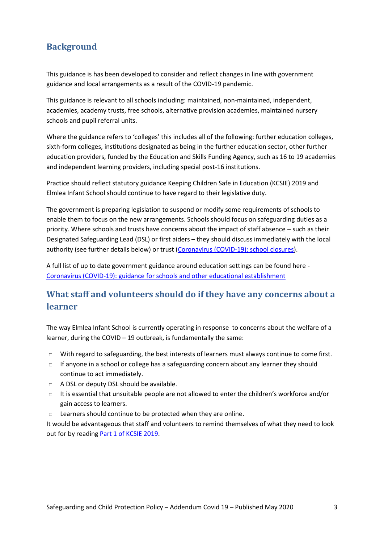## <span id="page-2-0"></span>**Background**

This guidance is has been developed to consider and reflect changes in line with government guidance and local arrangements as a result of the COVID-19 pandemic.

This guidance is relevant to all schools including: maintained, non-maintained, independent, academies, academy trusts, free schools, alternative provision academies, maintained nursery schools and pupil referral units.

Where the guidance refers to 'colleges' this includes all of the following: further education colleges, sixth-form colleges, institutions designated as being in the further education sector, other further education providers, funded by the Education and Skills Funding Agency, such as 16 to 19 academies and independent learning providers, including special post-16 institutions.

Practice should reflect statutory guidance Keeping Children Safe in Education (KCSIE) 2019 and Elmlea Infant School should continue to have regard to their legislative duty.

The government is preparing legislation to suspend or modify some requirements of schools to enable them to focus on the new arrangements. Schools should focus on safeguarding duties as a priority. Where schools and trusts have concerns about the impact of staff absence – such as their Designated Safeguarding Lead (DSL) or first aiders – they should discuss immediately with the local authority (see further details below) or trust [\(Coronavirus \(COVID-19\): school closures\)](https://www.gov.uk/government/publications/covid-19-school-closures).

<span id="page-2-2"></span>A full list of up to date government guidance around education settings can be found here - [Coronavirus \(COVID-19\): guidance for schools and other educational establishment](https://www.gov.uk/government/collections/coronavirus-covid-19-guidance-for-schools-and-other-educational-settings)

## <span id="page-2-1"></span>**What staff and volunteers should do if they have any concerns about a learner**

The way Elmlea Infant School is currently operating in response to concerns about the welfare of a learner, during the COVID – 19 outbreak, is fundamentally the same:

- $\Box$  With regard to safeguarding, the best interests of learners must always continue to come first.
- □ If anyone in a school or college has a safeguarding concern about any learner they should continue to act immediately.
- □ A DSL or deputy DSL should be available.
- $\Box$  It is essential that unsuitable people are not allowed to enter the children's workforce and/or gain access to learners.
- □ Learners should continue to be protected when they are online.

It would be advantageous that staff and volunteers to remind themselves of what they need to look out for by reading [Part 1 of KCSIE 2019.](https://assets.publishing.service.gov.uk/government/uploads/system/uploads/attachment_data/file/836144/Keeping_children_safe_in_education_part_1_2019.pdf)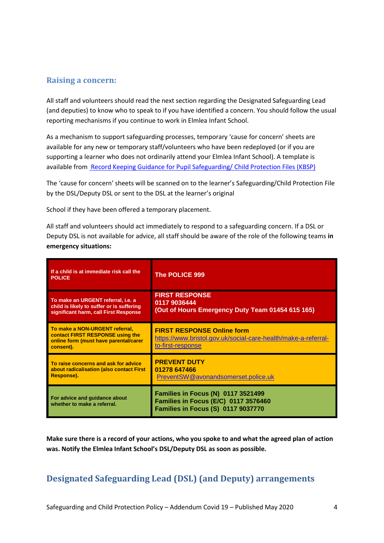#### <span id="page-3-1"></span>**Raising a concern:**

All staff and volunteers should read the next section regarding the Designated Safeguarding Lead (and deputies) to know who to speak to if you have identified a concern. You should follow the usual reporting mechanisms if you continue to work in Elmlea Infant School.

As a mechanism to support safeguarding processes, temporary 'cause for concern' sheets are available for any new or temporary staff/volunteers who have been redeployed (or if you are supporting a learner who does not ordinarily attend your Elmlea Infant School). A template is available from [Record Keeping Guidance for Pupil Safeguarding/ Child Protection Files \(KBSP\)](https://bristolsafeguarding.org/media/xfqlqjdr/final-safeguarding-files-policy-document.docx)

The 'cause for concern' sheets will be scanned on to the learner's Safeguarding/Child Protection File by the DSL/Deputy DSL or sent to the DSL at the learner's original

School if they have been offered a temporary placement.

All staff and volunteers should act immediately to respond to a safeguarding concern. If a DSL or Deputy DSL is not available for advice, all staff should be aware of the role of the following teams **in emergency situations:**

| If a child is at immediate risk call the<br><b>POLICE</b>                                                                | <b>The POLICE 999</b>                                                                                                          |
|--------------------------------------------------------------------------------------------------------------------------|--------------------------------------------------------------------------------------------------------------------------------|
| To make an URGENT referral, i.e. a<br>child is likely to suffer or is suffering<br>significant harm, call First Response | <b>FIRST RESPONSE</b><br>0117 9036444<br>(Out of Hours Emergency Duty Team 01454 615 165)                                      |
| To make a NON-URGENT referral,<br>contact FIRST RESPONSE using the<br>online form (must have parental/carer<br>consent). | <b>FIRST RESPONSE Online form</b><br>https://www.bristol.gov.uk/social-care-health/make-a-referral-<br>to-first-response       |
| To raise concerns and ask for advice<br>about radicalisation (also contact First<br>Response).                           | <b>PREVENT DUTY</b><br>01278 647466<br>PreventSW@avonandsomerset.police.uk                                                     |
| For advice and guidance about<br>whether to make a referral.                                                             | <b>Families in Focus (N) 0117 3521499</b><br>Families in Focus (E/C) 0117 3576460<br><b>Families in Focus (S) 0117 9037770</b> |

**Make sure there is a record of your actions, who you spoke to and what the agreed plan of action was. Notify the Elmlea Infant School's DSL/Deputy DSL as soon as possible.** 

#### <span id="page-3-0"></span>**Designated Safeguarding Lead (DSL) (and Deputy) arrangements**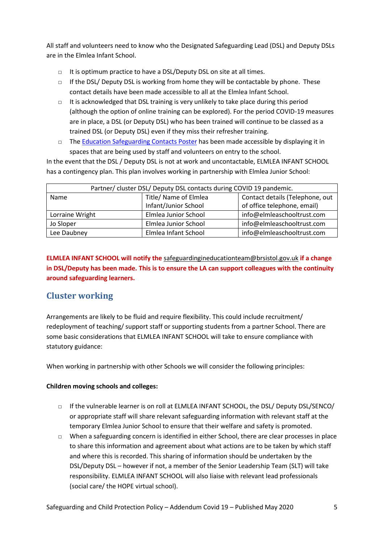All staff and volunteers need to know who the Designated Safeguarding Lead (DSL) and Deputy DSLs are in the Elmlea Infant School.

- □ It is optimum practice to have a DSL/Deputy DSL on site at all times.
- $\Box$  If the DSL/ Deputy DSL is working from home they will be contactable by phone. These contact details have been made accessible to all at the Elmlea Infant School.
- $\Box$  It is acknowledged that DSL training is very unlikely to take place during this period (although the option of online training can be explored). For the period COVID-19 measures are in place, a DSL (or Deputy DSL) who has been trained will continue to be classed as a trained DSL (or Deputy DSL) even if they miss their refresher training.
- □ The [Education Safeguarding Contacts Poster](https://drive.google.com/open?id=1dHv84YmMiaS63AzvH_OhYqOclCbN_dP5) has been made accessible by displaying it in spaces that are being used by staff and volunteers on entry to the school.

In the event that the DSL / Deputy DSL is not at work and uncontactable, ELMLEA INFANT SCHOOL has a contingency plan. This plan involves working in partnership with Elmlea Junior School:

| Partner/ cluster DSL/ Deputy DSL contacts during COVID 19 pandemic. |                       |                                 |
|---------------------------------------------------------------------|-----------------------|---------------------------------|
| Name                                                                | Title/ Name of Elmlea | Contact details (Telephone, out |
|                                                                     | Infant/Junior School  | of office telephone, email)     |
| Lorraine Wright                                                     | Elmlea Junior School  | info@elmleaschooltrust.com      |
| Jo Sloper                                                           | Elmlea Junior School  | info@elmleaschooltrust.com      |
| Lee Daubney                                                         | Elmlea Infant School  | info@elmleaschooltrust.com      |

**ELMLEA INFANT SCHOOL will notify the** [safeguardingineducationteam@brsistol.gov.uk](mailto:safeguardingineducationteam@brsistol.gov.uk) **if a change in DSL/Deputy has been made. This is to ensure the LA can support colleagues with the continuity around safeguarding learners.** 

## <span id="page-4-0"></span>**Cluster working**

Arrangements are likely to be fluid and require flexibility. This could include recruitment/ redeployment of teaching/ support staff or supporting students from a partner School. There are some basic considerations that ELMLEA INFANT SCHOOL will take to ensure compliance with statutory guidance:

When working in partnership with other Schools we will consider the following principles:

#### **Children moving schools and colleges:**

- □ If the vulnerable learner is on roll at ELMLEA INFANT SCHOOL, the DSL/ Deputy DSL/SENCO/ or appropriate staff will share relevant safeguarding information with relevant staff at the temporary Elmlea Junior School to ensure that their welfare and safety is promoted.
- $\Box$  When a safeguarding concern is identified in either School, there are clear processes in place to share this information and agreement about what actions are to be taken by which staff and where this is recorded. This sharing of information should be undertaken by the DSL/Deputy DSL – however if not, a member of the Senior Leadership Team (SLT) will take responsibility. ELMLEA INFANT SCHOOL will also liaise with relevant lead professionals (social care/ the HOPE virtual school).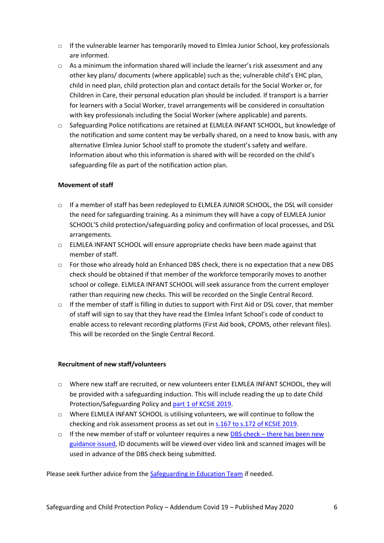- $\Box$  If the vulnerable learner has temporarily moved to Elmlea Junior School, key professionals are informed.
- $\Box$  As a minimum the information shared will include the learner's risk assessment and any other key plans/ documents (where applicable) such as the; vulnerable child's EHC plan, child in need plan, child protection plan and contact details for the Social Worker or, for Children in Care, their personal education plan should be included. If transport is a barrier for learners with a Social Worker, travel arrangements will be considered in consultation with key professionals including the Social Worker (where applicable) and parents.
- □ Safeguarding Police notifications are retained at ELMLEA INFANT SCHOOL, but knowledge of the notification and some content may be verbally shared, on a need to know basis, with any alternative Elmlea Junior School staff to promote the student's safety and welfare. Information about who this information is shared with will be recorded on the child's safeguarding file as part of the notification action plan.

#### **Movement of staff**

- □ If a member of staff has been redeployed to ELMLEA JUNIOR SCHOOL, the DSL will consider the need for safeguarding training. As a minimum they will have a copy of ELMLEA Junior SCHOOL'S child protection/safeguarding policy and confirmation of local processes, and DSL arrangements.
- $\Box$  ELMLEA INFANT SCHOOL will ensure appropriate checks have been made against that member of staff.
- □ For those who already hold an Enhanced DBS check, there is no expectation that a new DBS check should be obtained if that member of the workforce temporarily moves to another school or college. ELMLEA INFANT SCHOOL will seek assurance from the current employer rather than requiring new checks. This will be recorded on the Single Central Record.
- $\Box$  If the member of staff is filling in duties to support with First Aid or DSL cover, that member of staff will sign to say that they have read the Elmlea Infant School's code of conduct to enable access to relevant recording platforms (First Aid book, CPOMS, other relevant files). This will be recorded on the Single Central Record.

#### **Recruitment of new staff/volunteers**

- □ Where new staff are recruited, or new volunteers enter ELMLEA INFANT SCHOOL, they will be provided with a safeguarding induction. This will include reading the up to date Child Protection/Safeguarding Policy and [part 1 of KCSIE 2019.](https://assets.publishing.service.gov.uk/government/uploads/system/uploads/attachment_data/file/836144/Keeping_children_safe_in_education_part_1_2019.pdf)
- $\Box$  Where ELMLEA INFANT SCHOOL is utilising volunteers, we will continue to follow the checking and risk assessment process as set out in  $s.167$  to  $s.172$  of KCSIE 2019.
- $\Box$  If the new member of staff or volunteer requires a new DBS check there has been new [guidance issued,](https://www.gov.uk/government/news/covid-19-changes-to-dbs-id-checking-guidelines) ID documents will be viewed over video link and scanned images will be used in advance of the DBS check being submitted.

Please seek further advice from the Safeguarding [in Education Team](https://drive.google.com/open?id=1YDfLdgw1j3eTDCDAvgx7O8VUWzYmzpoO) if needed.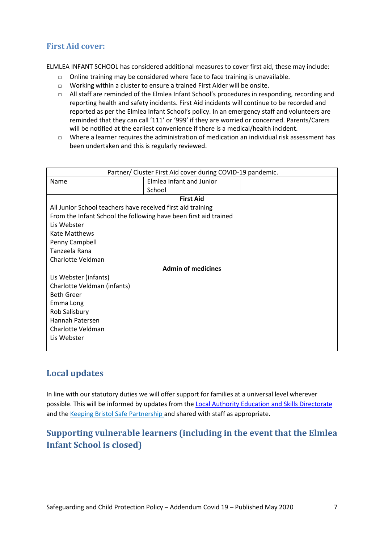#### **First Aid cover:**

ELMLEA INFANT SCHOOL has considered additional measures to cover first aid, these may include:

- $\Box$  Online training may be considered where face to face training is unavailable.
- □ Working within a cluster to ensure a trained First Aider will be onsite.
- $\Box$  All staff are reminded of the Elmlea Infant School's procedures in responding, recording and reporting health and safety incidents. First Aid incidents will continue to be recorded and reported as per the Elmlea Infant School's policy. In an emergency staff and volunteers are reminded that they can call '111' or '999' if they are worried or concerned. Parents/Carers will be notified at the earliest convenience if there is a medical/health incident.
- □ Where a learner requires the administration of medication an individual risk assessment has been undertaken and this is regularly reviewed.

| Partner/ Cluster First Aid cover during COVID-19 pandemic.       |                          |  |  |
|------------------------------------------------------------------|--------------------------|--|--|
| Name                                                             | Elmlea Infant and Junior |  |  |
|                                                                  | School                   |  |  |
|                                                                  | <b>First Aid</b>         |  |  |
| All Junior School teachers have received first aid training      |                          |  |  |
| From the Infant School the following have been first aid trained |                          |  |  |
| Lis Webster                                                      |                          |  |  |
| Kate Matthews                                                    |                          |  |  |
| Penny Campbell                                                   |                          |  |  |
| Tanzeela Rana                                                    |                          |  |  |
| Charlotte Veldman                                                |                          |  |  |
| <b>Admin of medicines</b>                                        |                          |  |  |
| Lis Webster (infants)                                            |                          |  |  |
| Charlotte Veldman (infants)                                      |                          |  |  |
| <b>Beth Greer</b>                                                |                          |  |  |
| Emma Long                                                        |                          |  |  |
| Rob Salisbury                                                    |                          |  |  |
| Hannah Patersen                                                  |                          |  |  |
| Charlotte Veldman                                                |                          |  |  |
| Lis Webster                                                      |                          |  |  |
|                                                                  |                          |  |  |

#### <span id="page-6-0"></span>**Local updates**

In line with our statutory duties we will offer support for families at a universal level wherever possible. This will be informed by updates from the [Local Authority Education and Skills Directorate](https://www.bristollearningcity.com/education/safeguarding-in-education/) and th[e Keeping Bristol Safe Partnership](https://bristolsafeguarding.org/) and shared with staff as appropriate.

## <span id="page-6-1"></span>**Supporting vulnerable learners (including in the event that the Elmlea Infant School is closed)**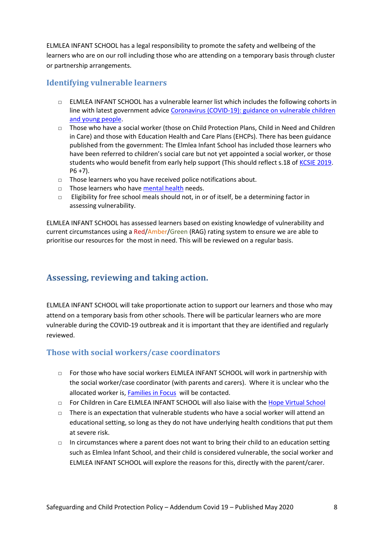ELMLEA INFANT SCHOOL has a legal responsibility to promote the safety and wellbeing of the learners who are on our roll including those who are attending on a temporary basis through cluster or partnership arrangements.

#### **Identifying vulnerable learners**

- □ ELMLEA INFANT SCHOOL has a vulnerable learner list which includes the following cohorts in line with latest government advice [Coronavirus \(COVID-19\): guidance on vulnerable children](https://www.gov.uk/government/publications/coronavirus-covid-19-guidance-on-vulnerable-children-and-young-people/coronavirus-covid-19-guidance-on-vulnerable-children-and-young-people)  and [young people.](https://www.gov.uk/government/publications/coronavirus-covid-19-guidance-on-vulnerable-children-and-young-people/coronavirus-covid-19-guidance-on-vulnerable-children-and-young-people)
- □ Those who have a social worker (those on Child Protection Plans, Child in Need and Children in Care) and those with Education Health and Care Plans (EHCPs). There has been guidance published from the government: The Elmlea Infant School has included those learners who have been referred to children's social care but not yet appointed a social worker, or those students who would benefit from early help support (This should reflect s.18 of [KCSIE 2019.](https://assets.publishing.service.gov.uk/government/uploads/system/uploads/attachment_data/file/836144/Keeping_children_safe_in_education_part_1_2019.pdf)  $P6 + 7$ ).
- □ Those learners who you have received police notifications about.
- □ Those learners who have [mental health](https://www.gov.uk/government/publications/covid-19-safeguarding-in-schools-colleges-and-other-providers/coronavirus-covid-19-safeguarding-in-schools-colleges-and-other-providers) needs.
- $\Box$  Eligibility for free school meals should not, in or of itself, be a determining factor in assessing vulnerability.

<span id="page-7-0"></span>ELMLEA INFANT SCHOOL has assessed learners based on existing knowledge of vulnerability and current circumstances using a Red/Amber/Green (RAG) rating system to ensure we are able to prioritise our resources for the most in need. This will be reviewed on a regular basis.

## **Assessing, reviewing and taking action.**

ELMLEA INFANT SCHOOL will take proportionate action to support our learners and those who may attend on a temporary basis from other schools. There will be particular learners who are more vulnerable during the COVID-19 outbreak and it is important that they are identified and regularly reviewed.

#### **Those with social workers/case coordinators**

- $\Box$  For those who have social workers ELMLEA INFANT SCHOOL will work in partnership with the social worker/case coordinator (with parents and carers). Where it is unclear who the allocated worker is, [Families in Focus](#page-3-1) will be contacted.
- □ For Children in Care ELMLEA INFANT SCHOOL will also liaise with the [Hope Virtual School](https://www.bristol.gov.uk/schools-learning-early-years/the-hope-virtual-school)
- □ There is an expectation that vulnerable students who have a social worker will attend an educational setting, so long as they do not have underlying health conditions that put them at severe risk.
- □ In circumstances where a parent does not want to bring their child to an education setting such as Elmlea Infant School, and their child is considered vulnerable, the social worker and ELMLEA INFANT SCHOOL will explore the reasons for this, directly with the parent/carer.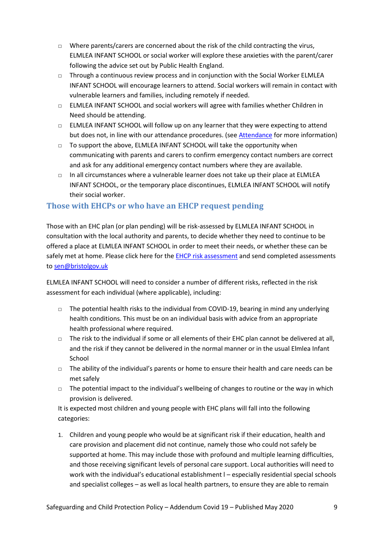- □ Where parents/carers are concerned about the risk of the child contracting the virus, ELMLEA INFANT SCHOOL or social worker will explore these anxieties with the parent/carer following the advice set out by Public Health England.
- $\Box$  Through a continuous review process and in conjunction with the Social Worker ELMLEA INFANT SCHOOL will encourage learners to attend. Social workers will remain in contact with vulnerable learners and families, including remotely if needed.
- □ ELMLEA INFANT SCHOOL and social workers will agree with families whether Children in Need should be attending.
- □ ELMLEA INFANT SCHOOL will follow up on any learner that they were expecting to attend but does not, in line with our attendance procedures. (see [Attendance](#page-9-0) for more information)
- □ To support the above, ELMLEA INFANT SCHOOL will take the opportunity when communicating with parents and carers to confirm emergency contact numbers are correct and ask for any additional emergency contact numbers where they are available.
- $\Box$  In all circumstances where a vulnerable learner does not take up their place at ELMLEA INFANT SCHOOL, or the temporary place discontinues, ELMLEA INFANT SCHOOL will notify their social worker.

#### **Those with EHCPs or who have an EHCP request pending**

Those with an EHC plan (or plan pending) will be risk-assessed by ELMLEA INFANT SCHOOL in consultation with the local authority and parents, to decide whether they need to continue to be offered a place at ELMLEA INFANT SCHOOL in order to meet their needs, or whether these can be safely met at home. Please click here for th[e EHCP risk assessment](https://drive.google.com/file/d/15JwhChFFn3c719CZz4hXkNrF5kX6MKy8/view) and send completed assessments to [sen@bristolgov.uk](mailto:sen@bristolgov.uk)

ELMLEA INFANT SCHOOL will need to consider a number of different risks, reflected in the risk assessment for each individual (where applicable), including:

- □ The potential health risks to the individual from COVID-19, bearing in mind any underlying health conditions. This must be on an individual basis with advice from an appropriate health professional where required.
- $\Box$  The risk to the individual if some or all elements of their EHC plan cannot be delivered at all, and the risk if they cannot be delivered in the normal manner or in the usual Elmlea Infant School
- $\Box$  The ability of the individual's parents or home to ensure their health and care needs can be met safely
- $\Box$  The potential impact to the individual's wellbeing of changes to routine or the way in which provision is delivered.

It is expected most children and young people with EHC plans will fall into the following categories:

1. Children and young people who would be at significant risk if their education, health and care provision and placement did not continue, namely those who could not safely be supported at home. This may include those with profound and multiple learning difficulties, and those receiving significant levels of personal care support. Local authorities will need to work with the individual's educational establishment l – especially residential special schools and specialist colleges – as well as local health partners, to ensure they are able to remain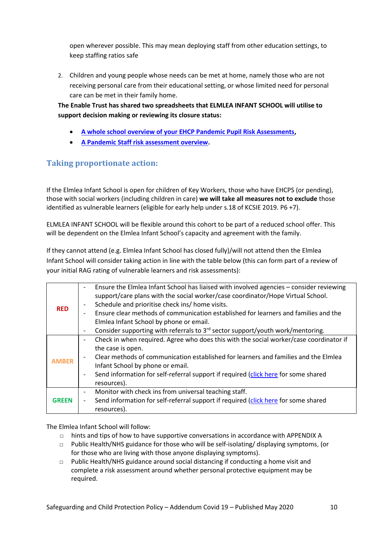open wherever possible. This may mean deploying staff from other education settings, to keep staffing ratios safe

2. Children and young people whose needs can be met at home, namely those who are not receiving personal care from their educational setting, or whose limited need for personal care can be met in their family home.

**The Enable Trust has shared two spreadsheets that ELMLEA INFANT SCHOOL will utilise to support decision making or reviewing its closure status:** 

- **[A whole school overview of your EHCP Pandemic Pupil Risk Assessments,](https://drive.google.com/open?id=1Ocy_1CF0y1LZqRfn9noWkA5tXrJ4d8u1)**
- **[A Pandemic Staff risk assessment overview.](https://drive.google.com/open?id=1gP74qbSYzuh5qTHoN2Jb8eq0IFC--qOf)**

#### **Taking proportionate action:**

If the Elmlea Infant School is open for children of Key Workers, those who have EHCPS (or pending), those with social workers (including children in care) **we will take all measures not to exclude** those identified as vulnerable learners (eligible for early help under s.18 of KCSIE 2019. P6 +7).

ELMLEA INFANT SCHOOL will be flexible around this cohort to be part of a reduced school offer. This will be dependent on the Elmlea Infant School's capacity and agreement with the family.

If they cannot attend (e.g. Elmlea Infant School has closed fully)/will not attend then the Elmlea Infant School will consider taking action in line with the table below (this can form part of a review of your initial RAG rating of vulnerable learners and risk assessments):

| <b>RED</b>   | Ensure the Elmlea Infant School has liaised with involved agencies - consider reviewing<br>support/care plans with the social worker/case coordinator/Hope Virtual School.<br>Schedule and prioritise check ins/ home visits.<br>Ensure clear methods of communication established for learners and families and the<br>Elmlea Infant School by phone or email. |
|--------------|-----------------------------------------------------------------------------------------------------------------------------------------------------------------------------------------------------------------------------------------------------------------------------------------------------------------------------------------------------------------|
|              | Consider supporting with referrals to 3 <sup>rd</sup> sector support/youth work/mentoring.<br>$\overline{\phantom{a}}$                                                                                                                                                                                                                                          |
|              | Check in when required. Agree who does this with the social worker/case coordinator if                                                                                                                                                                                                                                                                          |
| <b>AMBER</b> | the case is open.                                                                                                                                                                                                                                                                                                                                               |
|              | Clear methods of communication established for learners and families and the Elmlea                                                                                                                                                                                                                                                                             |
|              | Infant School by phone or email.                                                                                                                                                                                                                                                                                                                                |
|              | Send information for self-referral support if required (click here for some shared                                                                                                                                                                                                                                                                              |
|              | resources).                                                                                                                                                                                                                                                                                                                                                     |
|              | Monitor with check ins from universal teaching staff.<br>$\overline{\phantom{a}}$                                                                                                                                                                                                                                                                               |
| GREEN        | Send information for self-referral support if required (click here for some shared                                                                                                                                                                                                                                                                              |
|              | resources).                                                                                                                                                                                                                                                                                                                                                     |

<span id="page-9-0"></span>The Elmlea Infant School will follow:

- $\Box$  hints and tips of how to have supportive conversations in accordance with APPENDIX A
- □ Public Health/NHS guidance for those who will be self-isolating/ displaying symptoms, (or for those who are living with those anyone displaying symptoms).
- $\Box$  Public Health/NHS guidance around social distancing if conducting a home visit and complete a risk assessment around whether personal protective equipment may be required.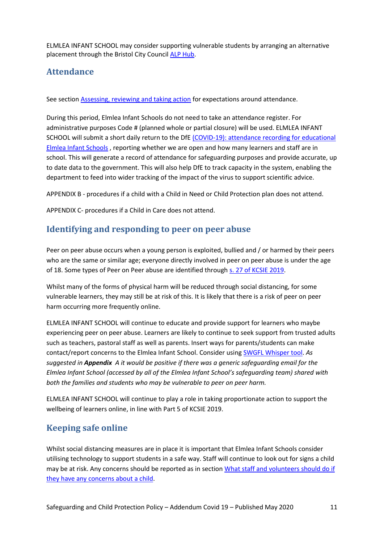ELMLEA INFANT SCHOOL may consider supporting vulnerable students by arranging an alternative placement through the Bristol City Council [ALP Hub.](https://www.bristol.gov.uk/resources-professionals/school-exclusions)

#### **Attendance**

See section [Assessing, reviewing and taking action](#page-7-0) for expectations around attendance.

During this period, Elmlea Infant Schools do not need to take an attendance register. For administrative purposes Code # (planned whole or partial closure) will be used. ELMLEA INFANT SCHOOL will submit a short daily return to the DfE [\(COVID-19\): attendance recording for educational](https://www.gov.uk/government/publications/coronavirus-covid-19-attendance-recording-for-educational-settings)  [Elmlea Infant Schools](https://www.gov.uk/government/publications/coronavirus-covid-19-attendance-recording-for-educational-settings) , reporting whether we are open and how many learners and staff are in school. This will generate a record of attendance for safeguarding purposes and provide accurate, up to date data to the government. This will also help DfE to track capacity in the system, enabling the department to feed into wider tracking of the impact of the virus to support scientific advice.

APPENDIX B - procedures if a child with a Child in Need or Child Protection plan does not attend.

APPENDIX C- procedures if a Child in Care does not attend.

#### <span id="page-10-0"></span>**Identifying and responding to peer on peer abuse**

Peer on peer abuse occurs when a young person is exploited, bullied and / or harmed by their peers who are the same or similar age; everyone directly involved in peer on peer abuse is under the age of 18. Some types of Peer on Peer abuse are identified through [s. 27 of KCSIE 2019.](https://assets.publishing.service.gov.uk/government/uploads/system/uploads/attachment_data/file/835733/Keeping_children_safe_in_education_2019.pdf)

Whilst many of the forms of physical harm will be reduced through social distancing, for some vulnerable learners, they may still be at risk of this. It is likely that there is a risk of peer on peer harm occurring more frequently online.

ELMLEA INFANT SCHOOL will continue to educate and provide support for learners who maybe experiencing peer on peer abuse. Learners are likely to continue to seek support from trusted adults such as teachers, pastoral staff as well as parents. Insert ways for parents/students can make contact/report concerns to the Elmlea Infant School. Consider using [SWGFL Whisper tool.](https://swgfl.org.uk/services/whisper/) *As suggested in Appendix A it would be positive if there was a generic safeguarding email for the Elmlea Infant School (accessed by all of the Elmlea Infant School's safeguarding team) shared with both the families and students who may be vulnerable to peer on peer harm.* 

ELMLEA INFANT SCHOOL will continue to play a role in taking proportionate action to support the wellbeing of learners online, in line with Part 5 of KCSIE 2019.

## <span id="page-10-1"></span>**Keeping safe online**

Whilst social distancing measures are in place it is important that Elmlea Infant Schools consider utilising technology to support students in a safe way. Staff will continue to look out for signs a child may be at risk. Any concerns should be reported as in section What staff and volunteers should do if [they have any concerns about a child.](#page-2-2)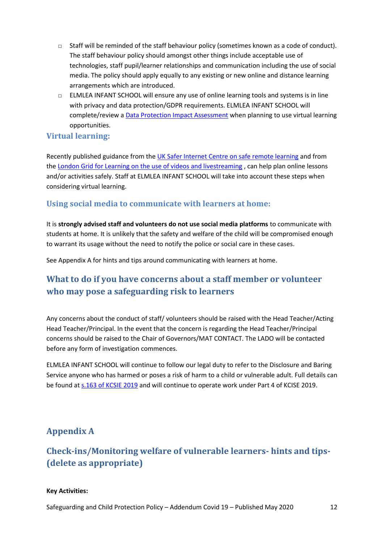- □ Staff will be reminded of the staff behaviour policy (sometimes known as a code of conduct). The staff behaviour policy should amongst other things include acceptable use of technologies, staff pupil/learner relationships and communication including the use of social media. The policy should apply equally to any existing or new online and distance learning arrangements which are introduced.
- □ ELMLEA INFANT SCHOOL will ensure any use of online learning tools and systems is in line with privacy and data protection/GDPR requirements. ELMLEA INFANT SCHOOL will complete/review a [Data Protection Impact Assessment](https://ico.org.uk/for-organisations/guide-to-data-protection/guide-to-the-general-data-protection-regulation-gdpr/accountability-and-governance/data-protection-impact-assessments/) when planning to use virtual learning opportunities.

#### **Virtual learning:**

Recently published guidance from the [UK Safer Internet Centre on safe remote learning](https://swgfl.org.uk/resources/safe-remote-learning/) and from th[e London Grid for Learning on the use of videos and livestreaming](https://static.lgfl.net/LgflNet/downloads/digisafe/Safe-Lessons-by-Video-and-Livestream.pdf) , can help plan online lessons and/or activities safely. Staff at ELMLEA INFANT SCHOOL will take into account these steps when considering virtual learning.

#### **Using social media to communicate with learners at home:**

It is **strongly advised staff and volunteers do not use social media platforms** to communicate with students at home. It is unlikely that the safety and welfare of the child will be compromised enough to warrant its usage without the need to notify the police or social care in these cases.

See Appendix A for hints and tips around communicating with learners at home.

## <span id="page-11-0"></span>**What to do if you have concerns about a staff member or volunteer who may pose a safeguarding risk to learners**

Any concerns about the conduct of staff/ volunteers should be raised with the Head Teacher/Acting Head Teacher/Principal. In the event that the concern is regarding the Head Teacher/Principal concerns should be raised to the Chair of Governors/MAT CONTACT. The LADO will be contacted before any form of investigation commences.

ELMLEA INFANT SCHOOL will continue to follow our legal duty to refer to the Disclosure and Baring Service anyone who has harmed or poses a risk of harm to a child or vulnerable adult. Full details can be found at [s.163 of KCSIE 2019](https://www.gov.uk/government/publications/keeping-children-safe-in-education--2) and will continue to operate work under Part 4 of KCISE 2019.

#### <span id="page-11-1"></span>**Appendix A**

## **Check-ins/Monitoring welfare of vulnerable learners- hints and tips- (delete as appropriate)**

#### **Key Activities:**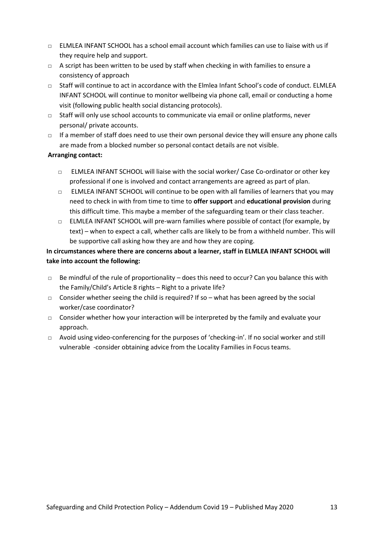- $\nabla$  ELMLEA INFANT SCHOOL has a school email account which families can use to liaise with us if they require help and support.
- □ A script has been written to be used by staff when checking in with families to ensure a consistency of approach
- □ Staff will continue to act in accordance with the Elmlea Infant School's code of conduct. ELMLEA INFANT SCHOOL will continue to monitor wellbeing via phone call, email or conducting a home visit (following public health social distancing protocols).
- □ Staff will only use school accounts to communicate via email or online platforms, never personal/ private accounts.
- □ If a member of staff does need to use their own personal device they will ensure any phone calls are made from a blocked number so personal contact details are not visible.

#### **Arranging contact:**

- □ ELMLEA INFANT SCHOOL will liaise with the social worker/ Case Co-ordinator or other key professional if one is involved and contact arrangements are agreed as part of plan.
- $\Box$  ELMLEA INFANT SCHOOL will continue to be open with all families of learners that you may need to check in with from time to time to **offer support** and **educational provision** during this difficult time. This maybe a member of the safeguarding team or their class teacher.
- □ ELMLEA INFANT SCHOOL will pre-warn families where possible of contact (for example, by text) – when to expect a call, whether calls are likely to be from a withheld number. This will be supportive call asking how they are and how they are coping.

#### **In circumstances where there are concerns about a learner, staff in ELMLEA INFANT SCHOOL will take into account the following:**

- $\Box$  Be mindful of the rule of proportionality does this need to occur? Can you balance this with the Family/Child's Article 8 rights – Right to a private life?
- □ Consider whether seeing the child is required? If so what has been agreed by the social worker/case coordinator?
- $\Box$  Consider whether how your interaction will be interpreted by the family and evaluate your approach.
- □ Avoid using video-conferencing for the purposes of 'checking-in'. If no social worker and still vulnerable -consider obtaining advice from the Locality Families in Focus teams.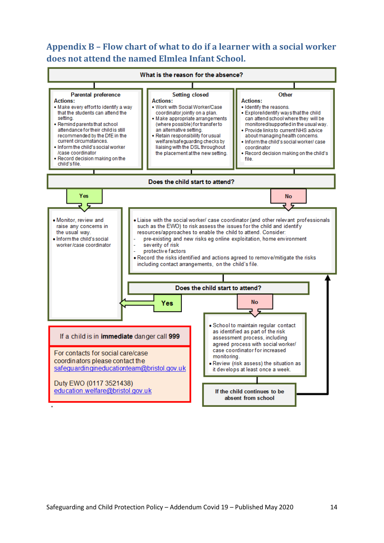## <span id="page-13-0"></span>**Appendix B – Flow chart of what to do if a learner with a social worker does not attend the named Elmlea Infant School.**

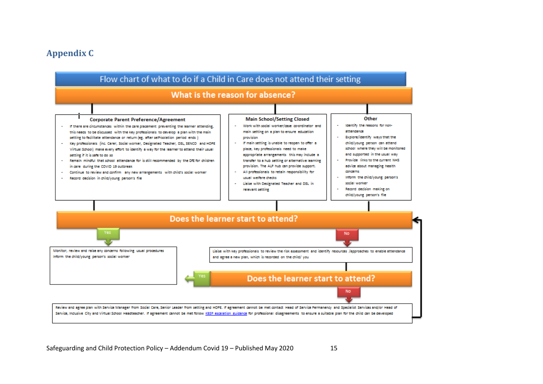#### **Appendix C**

<span id="page-14-0"></span>